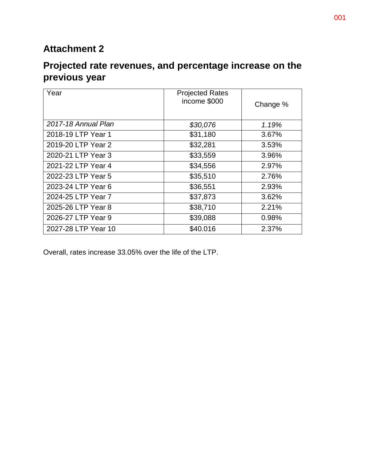## **Attachment 2**

## **Projected rate revenues, and percentage increase on the previous year**

| Year                | <b>Projected Rates</b><br>income \$000 | Change % |
|---------------------|----------------------------------------|----------|
| 2017-18 Annual Plan | \$30,076                               | 1.19%    |
| 2018-19 LTP Year 1  | \$31,180                               | 3.67%    |
| 2019-20 LTP Year 2  | \$32,281                               | 3.53%    |
| 2020-21 LTP Year 3  | \$33,559                               | 3.96%    |
| 2021-22 LTP Year 4  | \$34,556                               | 2.97%    |
| 2022-23 LTP Year 5  | \$35,510                               | 2.76%    |
| 2023-24 LTP Year 6  | \$36,551                               | 2.93%    |
| 2024-25 LTP Year 7  | \$37,873                               | 3.62%    |
| 2025-26 LTP Year 8  | \$38,710                               | 2.21%    |
| 2026-27 LTP Year 9  | \$39,088                               | 0.98%    |
| 2027-28 LTP Year 10 | \$40.016                               | 2.37%    |

Overall, rates increase 33.05% over the life of the LTP.